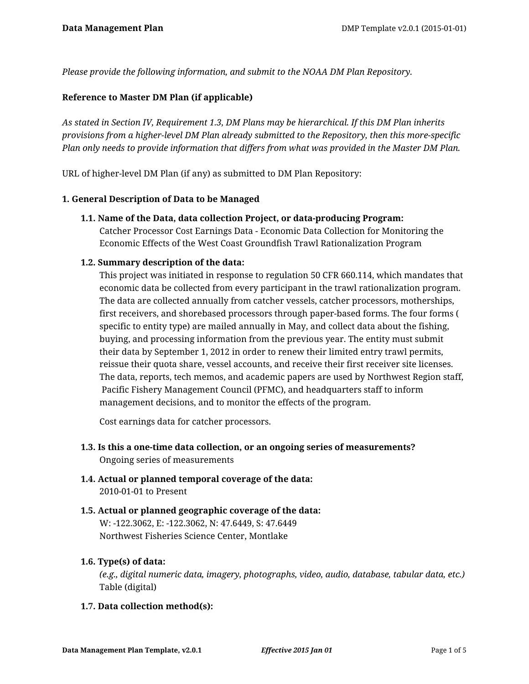*Please provide the following information, and submit to the NOAA DM Plan Repository.*

### **Reference to Master DM Plan (if applicable)**

*As stated in Section IV, Requirement 1.3, DM Plans may be hierarchical. If this DM Plan inherits provisions from a higher-level DM Plan already submitted to the Repository, then this more-specific Plan only needs to provide information that differs from what was provided in the Master DM Plan.*

URL of higher-level DM Plan (if any) as submitted to DM Plan Repository:

#### **1. General Description of Data to be Managed**

**1.1. Name of the Data, data collection Project, or data-producing Program:** Catcher Processor Cost Earnings Data - Economic Data Collection for Monitoring the

Economic Effects of the West Coast Groundfish Trawl Rationalization Program

### **1.2. Summary description of the data:**

This project was initiated in response to regulation 50 CFR 660.114, which mandates that economic data be collected from every participant in the trawl rationalization program. The data are collected annually from catcher vessels, catcher processors, motherships, first receivers, and shorebased processors through paper-based forms. The four forms ( specific to entity type) are mailed annually in May, and collect data about the fishing, buying, and processing information from the previous year. The entity must submit their data by September 1, 2012 in order to renew their limited entry trawl permits, reissue their quota share, vessel accounts, and receive their first receiver site licenses. The data, reports, tech memos, and academic papers are used by Northwest Region staff, Pacific Fishery Management Council (PFMC), and headquarters staff to inform management decisions, and to monitor the effects of the program.

Cost earnings data for catcher processors.

- **1.3. Is this a one-time data collection, or an ongoing series of measurements?** Ongoing series of measurements
- **1.4. Actual or planned temporal coverage of the data:** 2010-01-01 to Present
- **1.5. Actual or planned geographic coverage of the data:** W: -122.3062, E: -122.3062, N: 47.6449, S: 47.6449 Northwest Fisheries Science Center, Montlake

#### **1.6. Type(s) of data:**

*(e.g., digital numeric data, imagery, photographs, video, audio, database, tabular data, etc.)* Table (digital)

## **1.7. Data collection method(s):**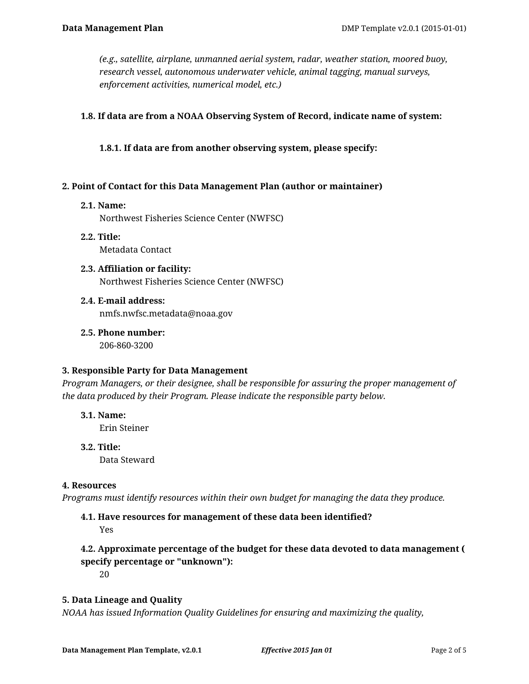*(e.g., satellite, airplane, unmanned aerial system, radar, weather station, moored buoy, research vessel, autonomous underwater vehicle, animal tagging, manual surveys, enforcement activities, numerical model, etc.)*

## **1.8. If data are from a NOAA Observing System of Record, indicate name of system:**

**1.8.1. If data are from another observing system, please specify:**

## **2. Point of Contact for this Data Management Plan (author or maintainer)**

**2.1. Name:**

Northwest Fisheries Science Center (NWFSC)

- **2.2. Title:** Metadata Contact
- **2.3. Affiliation or facility:** Northwest Fisheries Science Center (NWFSC)
- **2.4. E-mail address:** nmfs.nwfsc.metadata@noaa.gov
- **2.5. Phone number:** 206-860-3200

#### **3. Responsible Party for Data Management**

*Program Managers, or their designee, shall be responsible for assuring the proper management of the data produced by their Program. Please indicate the responsible party below.*

- **3.1. Name:** Erin Steiner
- **3.2. Title:** Data Steward

## **4. Resources**

*Programs must identify resources within their own budget for managing the data they produce.*

## **4.1. Have resources for management of these data been identified?**

Yes

# **4.2. Approximate percentage of the budget for these data devoted to data management ( specify percentage or "unknown"):**

20

#### **5. Data Lineage and Quality**

*NOAA has issued Information Quality Guidelines for ensuring and maximizing the quality,*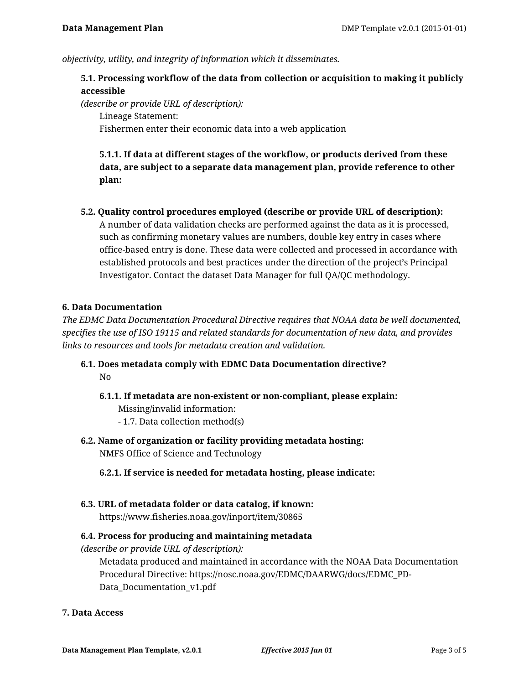*objectivity, utility, and integrity of information which it disseminates.*

## **5.1. Processing workflow of the data from collection or acquisition to making it publicly accessible**

*(describe or provide URL of description):*

Lineage Statement:

Fishermen enter their economic data into a web application

**5.1.1. If data at different stages of the workflow, or products derived from these data, are subject to a separate data management plan, provide reference to other plan:**

**5.2. Quality control procedures employed (describe or provide URL of description):** A number of data validation checks are performed against the data as it is processed, such as confirming monetary values are numbers, double key entry in cases where office-based entry is done. These data were collected and processed in accordance with established protocols and best practices under the direction of the project's Principal Investigator. Contact the dataset Data Manager for full QA/QC methodology.

#### **6. Data Documentation**

*The EDMC Data Documentation Procedural Directive requires that NOAA data be well documented, specifies the use of ISO 19115 and related standards for documentation of new data, and provides links to resources and tools for metadata creation and validation.*

# **6.1. Does metadata comply with EDMC Data Documentation directive?** No

**6.1.1. If metadata are non-existent or non-compliant, please explain:** Missing/invalid information:

- 1.7. Data collection method(s)
- **6.2. Name of organization or facility providing metadata hosting:** NMFS Office of Science and Technology

**6.2.1. If service is needed for metadata hosting, please indicate:**

**6.3. URL of metadata folder or data catalog, if known:**

https://www.fisheries.noaa.gov/inport/item/30865

# **6.4. Process for producing and maintaining metadata**

*(describe or provide URL of description):*

Metadata produced and maintained in accordance with the NOAA Data Documentation Procedural Directive: https://nosc.noaa.gov/EDMC/DAARWG/docs/EDMC\_PD-Data\_Documentation\_v1.pdf

### **7. Data Access**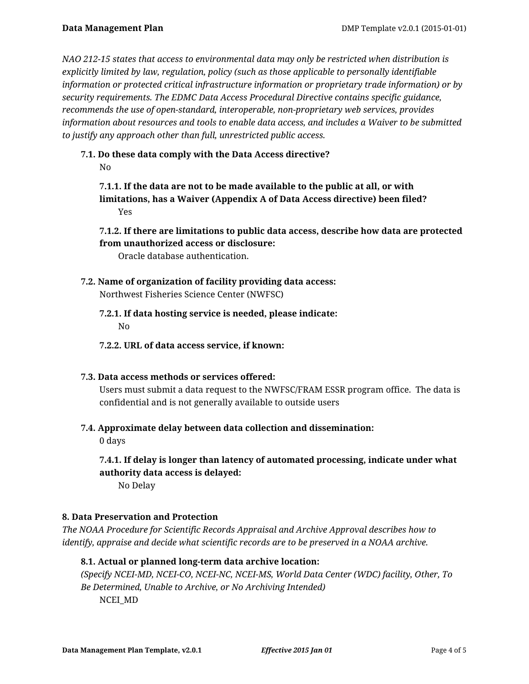*NAO 212-15 states that access to environmental data may only be restricted when distribution is explicitly limited by law, regulation, policy (such as those applicable to personally identifiable information or protected critical infrastructure information or proprietary trade information) or by security requirements. The EDMC Data Access Procedural Directive contains specific guidance, recommends the use of open-standard, interoperable, non-proprietary web services, provides information about resources and tools to enable data access, and includes a Waiver to be submitted to justify any approach other than full, unrestricted public access.*

**7.1. Do these data comply with the Data Access directive?**

No

**7.1.1. If the data are not to be made available to the public at all, or with limitations, has a Waiver (Appendix A of Data Access directive) been filed?** Yes

**7.1.2. If there are limitations to public data access, describe how data are protected from unauthorized access or disclosure:**

Oracle database authentication.

- **7.2. Name of organization of facility providing data access:** Northwest Fisheries Science Center (NWFSC)
	- **7.2.1. If data hosting service is needed, please indicate:** No
	- **7.2.2. URL of data access service, if known:**
- **7.3. Data access methods or services offered:**

Users must submit a data request to the NWFSC/FRAM ESSR program office. The data is confidential and is not generally available to outside users

**7.4. Approximate delay between data collection and dissemination:**

0 days

**7.4.1. If delay is longer than latency of automated processing, indicate under what authority data access is delayed:**

No Delay

## **8. Data Preservation and Protection**

*The NOAA Procedure for Scientific Records Appraisal and Archive Approval describes how to identify, appraise and decide what scientific records are to be preserved in a NOAA archive.*

## **8.1. Actual or planned long-term data archive location:**

*(Specify NCEI-MD, NCEI-CO, NCEI-NC, NCEI-MS, World Data Center (WDC) facility, Other, To Be Determined, Unable to Archive, or No Archiving Intended)* NCEI\_MD